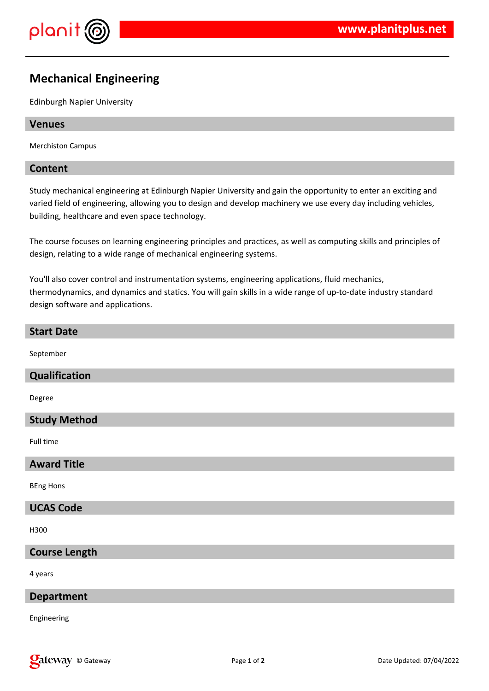

# **Mechanical Engineering**

Edinburgh Napier University

#### **Venues**

Merchiston Campus

### **Content**

Study mechanical engineering at Edinburgh Napier University and gain the opportunity to enter an exciting and varied field of engineering, allowing you to design and develop machinery we use every day including vehicles, building, healthcare and even space technology.

The course focuses on learning engineering principles and practices, as well as computing skills and principles of design, relating to a wide range of mechanical engineering systems.

You'll also cover control and instrumentation systems, engineering applications, fluid mechanics, thermodynamics, and dynamics and statics. You will gain skills in a wide range of up-to-date industry standard design software and applications.

#### **Start Date**

September

# **Qualification**

Degree

# **Study Method**

Full time

### **Award Title**

BEng Hons

# **UCAS Code**

H300

# **Course Length**

4 years

### **Department**

Engineering